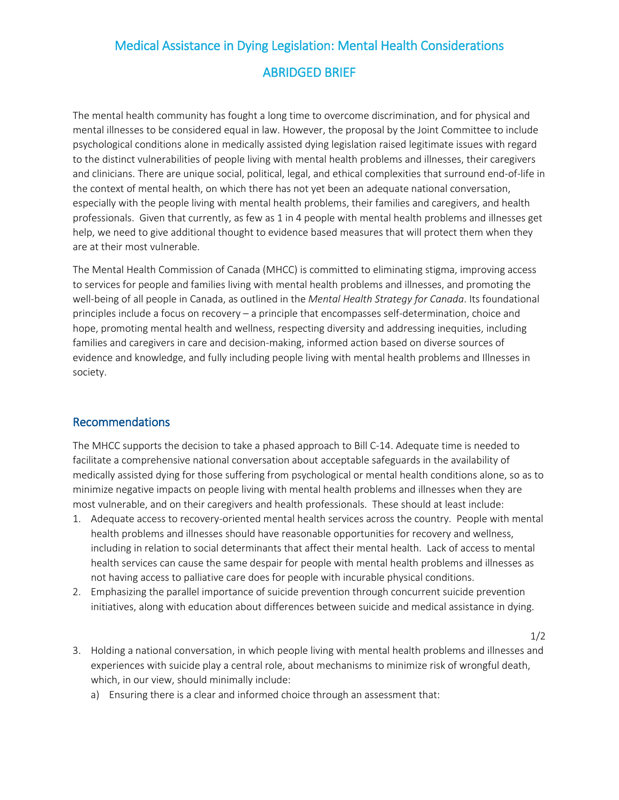## Medical Assistance in Dying Legislation: Mental Health Considerations ABRIDGED BRIEF

The mental health community has fought a long time to overcome discrimination, and for physical and mental illnesses to be considered equal in law. However, the proposal by the Joint Committee to include psychological conditions alone in medically assisted dying legislation raised legitimate issues with regard to the distinct vulnerabilities of people living with mental health problems and illnesses, their caregivers and clinicians. There are unique social, political, legal, and ethical complexities that surround end-of-life in the context of mental health, on which there has not yet been an adequate national conversation, especially with the people living with mental health problems, their families and caregivers, and health professionals. Given that currently, as few as 1 in 4 people with mental health problems and illnesses get help, we need to give additional thought to evidence based measures that will protect them when they are at their most vulnerable.

The Mental Health Commission of Canada (MHCC) is committed to eliminating stigma, improving access to services for people and families living with mental health problems and illnesses, and promoting the well-being of all people in Canada, as outlined in the *Mental Health Strategy for Canada*. Its foundational principles include a focus on recovery – a principle that encompasses self-determination, choice and hope, promoting mental health and wellness, respecting diversity and addressing inequities, including families and caregivers in care and decision-making, informed action based on diverse sources of evidence and knowledge, and fully including people living with mental health problems and Illnesses in society.

## Recommendations

The MHCC supports the decision to take a phased approach to Bill C-14. Adequate time is needed to facilitate a comprehensive national conversation about acceptable safeguards in the availability of medically assisted dying for those suffering from psychological or mental health conditions alone, so as to minimize negative impacts on people living with mental health problems and illnesses when they are most vulnerable, and on their caregivers and health professionals. These should at least include:

- 1. Adequate access to recovery-oriented mental health services across the country. People with mental health problems and illnesses should have reasonable opportunities for recovery and wellness, including in relation to social determinants that affect their mental health. Lack of access to mental health services can cause the same despair for people with mental health problems and illnesses as not having access to palliative care does for people with incurable physical conditions.
- 2. Emphasizing the parallel importance of suicide prevention through concurrent suicide prevention initiatives, along with education about differences between suicide and medical assistance in dying.
- 3. Holding a national conversation, in which people living with mental health problems and illnesses and experiences with suicide play a central role, about mechanisms to minimize risk of wrongful death, which, in our view, should minimally include:

1/2

a) Ensuring there is a clear and informed choice through an assessment that: